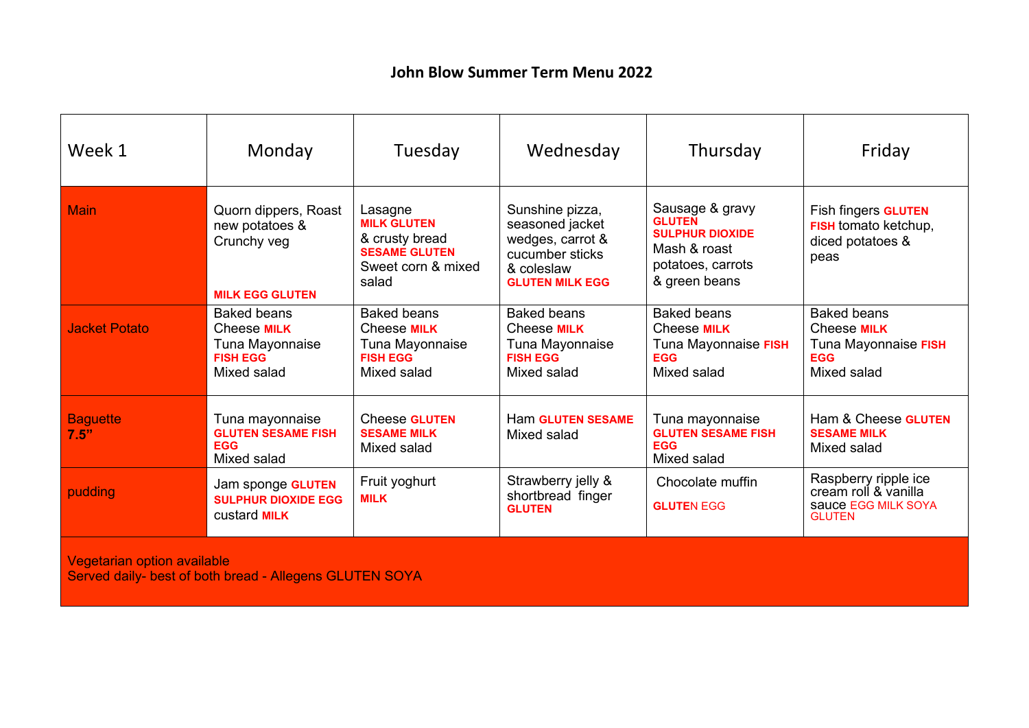## **John Blow Summer Term Menu 2022**

| Week 1                                                                                        | Monday                                                                                        | Tuesday                                                                                                | Wednesday                                                                                                         | Thursday                                                                                                         | Friday                                                                                        |  |
|-----------------------------------------------------------------------------------------------|-----------------------------------------------------------------------------------------------|--------------------------------------------------------------------------------------------------------|-------------------------------------------------------------------------------------------------------------------|------------------------------------------------------------------------------------------------------------------|-----------------------------------------------------------------------------------------------|--|
| <b>Main</b>                                                                                   | Quorn dippers, Roast<br>new potatoes &<br>Crunchy veg<br><b>MILK EGG GLUTEN</b>               | Lasagne<br><b>MILK GLUTEN</b><br>& crusty bread<br><b>SESAME GLUTEN</b><br>Sweet corn & mixed<br>salad | Sunshine pizza,<br>seasoned jacket<br>wedges, carrot &<br>cucumber sticks<br>& coleslaw<br><b>GLUTEN MILK EGG</b> | Sausage & gravy<br><b>GLUTEN</b><br><b>SULPHUR DIOXIDE</b><br>Mash & roast<br>potatoes, carrots<br>& green beans | Fish fingers <b>GLUTEN</b><br>FISH tomato ketchup,<br>diced potatoes &<br>peas                |  |
| <b>Jacket Potato</b>                                                                          | <b>Baked beans</b><br>Cheese <b>MILK</b><br>Tuna Mayonnaise<br><b>FISH EGG</b><br>Mixed salad | <b>Baked beans</b><br>Cheese <b>MILK</b><br>Tuna Mayonnaise<br><b>FISH EGG</b><br>Mixed salad          | <b>Baked beans</b><br>Cheese <b>MILK</b><br>Tuna Mayonnaise<br><b>FISH EGG</b><br>Mixed salad                     | <b>Baked beans</b><br>Cheese <b>MILK</b><br>Tuna Mayonnaise FISH<br><b>EGG</b><br>Mixed salad                    | <b>Baked beans</b><br>Cheese <b>MILK</b><br>Tuna Mayonnaise FISH<br><b>EGG</b><br>Mixed salad |  |
| <b>Baguette</b><br>7.5"                                                                       | Tuna mayonnaise<br><b>GLUTEN SESAME FISH</b><br><b>EGG</b><br>Mixed salad                     | Cheese <b>GLUTEN</b><br><b>SESAME MILK</b><br>Mixed salad                                              | <b>Ham GLUTEN SESAME</b><br>Mixed salad                                                                           | Tuna mayonnaise<br><b>GLUTEN SESAME FISH</b><br><b>EGG</b><br>Mixed salad                                        | Ham & Cheese GLUTEN<br><b>SESAME MILK</b><br>Mixed salad                                      |  |
| pudding                                                                                       | Jam sponge GLUTEN<br><b>SULPHUR DIOXIDE EGG</b><br>custard <b>MILK</b>                        | Fruit yoghurt<br><b>MILK</b>                                                                           | Strawberry jelly &<br>shortbread finger<br><b>GLUTEN</b>                                                          | Chocolate muffin<br><b>GLUTEN EGG</b>                                                                            | Raspberry ripple ice<br>cream roll & vanilla<br>sauce EGG MILK SOYA<br><b>GLUTEN</b>          |  |
| <b>Vegetarian option available</b><br>Served daily- best of both bread - Allegens GLUTEN SOYA |                                                                                               |                                                                                                        |                                                                                                                   |                                                                                                                  |                                                                                               |  |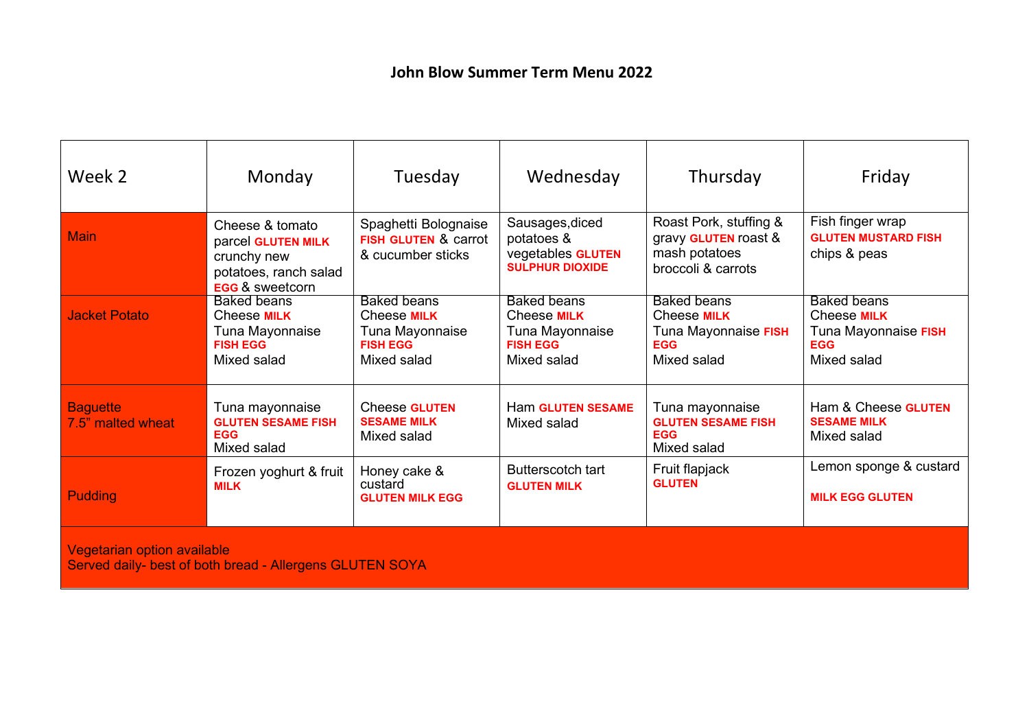| Week 2                                                                                         | Monday                                                                                                      | Tuesday                                                                                | Wednesday                                                                              | Thursday                                                                               | Friday                                                                                        |  |
|------------------------------------------------------------------------------------------------|-------------------------------------------------------------------------------------------------------------|----------------------------------------------------------------------------------------|----------------------------------------------------------------------------------------|----------------------------------------------------------------------------------------|-----------------------------------------------------------------------------------------------|--|
| <b>Main</b>                                                                                    | Cheese & tomato<br>parcel GLUTEN MILK<br>crunchy new<br>potatoes, ranch salad<br><b>EGG &amp; sweetcorn</b> | Spaghetti Bolognaise<br><b>FISH GLUTEN &amp; carrot</b><br>& cucumber sticks           | Sausages, diced<br>potatoes &<br>vegetables GLUTEN<br><b>SULPHUR DIOXIDE</b>           | Roast Pork, stuffing &<br>gravy GLUTEN roast &<br>mash potatoes<br>broccoli & carrots  | Fish finger wrap<br><b>GLUTEN MUSTARD FISH</b><br>chips & peas                                |  |
| <b>Jacket Potato</b>                                                                           | <b>Baked beans</b><br>Cheese <b>MILK</b><br>Tuna Mayonnaise<br><b>FISH EGG</b><br>Mixed salad               | Baked beans<br>Cheese <b>MILK</b><br>Tuna Mayonnaise<br><b>FISH EGG</b><br>Mixed salad | <b>Baked beans</b><br>Cheese MILK<br>Tuna Mayonnaise<br><b>FISH EGG</b><br>Mixed salad | <b>Baked beans</b><br>Cheese MILK<br>Tuna Mayonnaise FISH<br><b>EGG</b><br>Mixed salad | <b>Baked beans</b><br>Cheese <b>MILK</b><br>Tuna Mayonnaise FISH<br><b>EGG</b><br>Mixed salad |  |
| <b>Baguette</b><br>7.5" malted wheat                                                           | Tuna mayonnaise<br><b>GLUTEN SESAME FISH</b><br><b>EGG</b><br>Mixed salad                                   | <b>Cheese GLUTEN</b><br><b>SESAME MILK</b><br>Mixed salad                              | <b>Ham GLUTEN SESAME</b><br>Mixed salad                                                | Tuna mayonnaise<br><b>GLUTEN SESAME FISH</b><br><b>EGG</b><br>Mixed salad              | Ham & Cheese GLUTEN<br><b>SESAME MILK</b><br>Mixed salad                                      |  |
| <b>Pudding</b>                                                                                 | Frozen yoghurt & fruit<br><b>MILK</b>                                                                       | Honey cake &<br>custard<br><b>GLUTEN MILK EGG</b>                                      | <b>Butterscotch tart</b><br><b>GLUTEN MILK</b>                                         | Fruit flapjack<br><b>GLUTEN</b>                                                        | Lemon sponge & custard<br><b>MILK EGG GLUTEN</b>                                              |  |
| <b>Vegetarian option available</b><br>Served daily- best of both bread - Allergens GLUTEN SOYA |                                                                                                             |                                                                                        |                                                                                        |                                                                                        |                                                                                               |  |